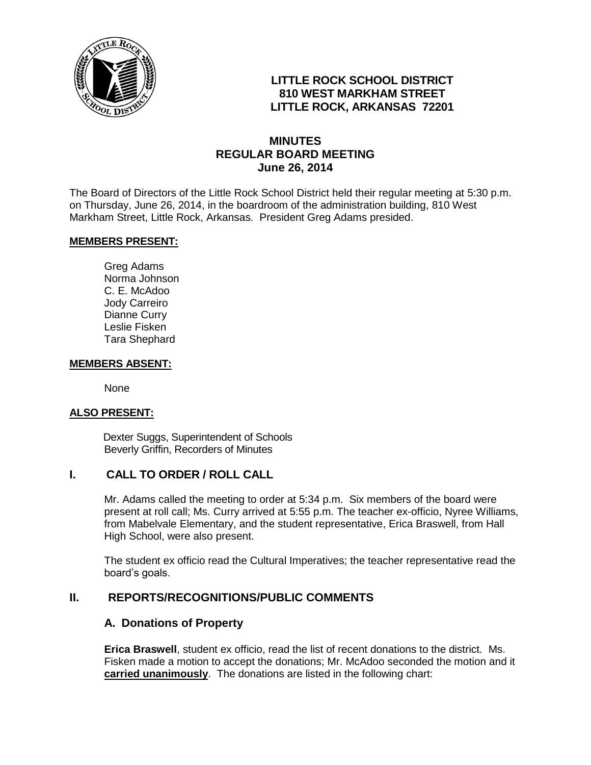

# **LITTLE ROCK SCHOOL DISTRICT 810 WEST MARKHAM STREET LITTLE ROCK, ARKANSAS 72201**

# **MINUTES REGULAR BOARD MEETING June 26, 2014**

The Board of Directors of the Little Rock School District held their regular meeting at 5:30 p.m. on Thursday, June 26, 2014, in the boardroom of the administration building, 810 West Markham Street, Little Rock, Arkansas. President Greg Adams presided.

#### **MEMBERS PRESENT:**

Greg Adams Norma Johnson C. E. McAdoo Jody Carreiro Dianne Curry Leslie Fisken Tara Shephard

#### **MEMBERS ABSENT:**

None

#### **ALSO PRESENT:**

 Dexter Suggs, Superintendent of Schools Beverly Griffin, Recorders of Minutes

#### **I. CALL TO ORDER / ROLL CALL**

Mr. Adams called the meeting to order at 5:34 p.m. Six members of the board were present at roll call; Ms. Curry arrived at 5:55 p.m. The teacher ex-officio, Nyree Williams, from Mabelvale Elementary, and the student representative, Erica Braswell, from Hall High School, were also present.

The student ex officio read the Cultural Imperatives; the teacher representative read the board's goals.

#### **II. REPORTS/RECOGNITIONS/PUBLIC COMMENTS**

#### **A. Donations of Property**

**Erica Braswell**, student ex officio, read the list of recent donations to the district. Ms. Fisken made a motion to accept the donations; Mr. McAdoo seconded the motion and it **carried unanimously**. The donations are listed in the following chart: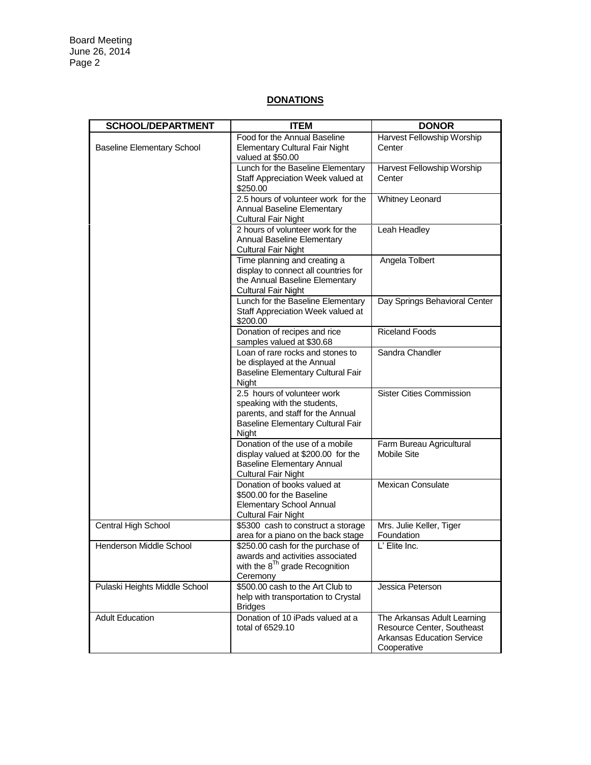## **DONATIONS**

| <b>SCHOOL/DEPARTMENT</b>          | <b>ITEM</b>                                                                                                                                   | <b>DONOR</b>                                                                                                  |
|-----------------------------------|-----------------------------------------------------------------------------------------------------------------------------------------------|---------------------------------------------------------------------------------------------------------------|
| <b>Baseline Elementary School</b> | Food for the Annual Baseline                                                                                                                  | Harvest Fellowship Worship                                                                                    |
|                                   | <b>Elementary Cultural Fair Night</b><br>valued at \$50.00                                                                                    | Center                                                                                                        |
|                                   | Lunch for the Baseline Elementary                                                                                                             | Harvest Fellowship Worship                                                                                    |
|                                   | Staff Appreciation Week valued at<br>\$250.00                                                                                                 | Center                                                                                                        |
|                                   | 2.5 hours of volunteer work for the<br>Annual Baseline Elementary<br><b>Cultural Fair Night</b>                                               | <b>Whitney Leonard</b>                                                                                        |
|                                   | 2 hours of volunteer work for the<br>Annual Baseline Elementary<br><b>Cultural Fair Night</b>                                                 | Leah Headley                                                                                                  |
|                                   | Time planning and creating a<br>display to connect all countries for<br>the Annual Baseline Elementary<br><b>Cultural Fair Night</b>          | Angela Tolbert                                                                                                |
|                                   | Lunch for the Baseline Elementary<br>Staff Appreciation Week valued at<br>\$200.00                                                            | Day Springs Behavioral Center                                                                                 |
|                                   | Donation of recipes and rice<br>samples valued at \$30.68                                                                                     | <b>Riceland Foods</b>                                                                                         |
|                                   | Loan of rare rocks and stones to<br>be displayed at the Annual<br>Baseline Elementary Cultural Fair<br>Night                                  | Sandra Chandler                                                                                               |
|                                   | 2.5 hours of volunteer work<br>speaking with the students,<br>parents, and staff for the Annual<br>Baseline Elementary Cultural Fair<br>Night | <b>Sister Cities Commission</b>                                                                               |
|                                   | Donation of the use of a mobile<br>display valued at \$200.00 for the<br><b>Baseline Elementary Annual</b><br><b>Cultural Fair Night</b>      | Farm Bureau Agricultural<br><b>Mobile Site</b>                                                                |
|                                   | Donation of books valued at<br>\$500.00 for the Baseline<br><b>Elementary School Annual</b><br><b>Cultural Fair Night</b>                     | <b>Mexican Consulate</b>                                                                                      |
| Central High School               | \$5300 cash to construct a storage<br>area for a piano on the back stage                                                                      | Mrs. Julie Keller, Tiger<br>Foundation                                                                        |
| Henderson Middle School           | \$250.00 cash for the purchase of<br>awards and activities associated<br>with the $8^{Th}$ grade Recognition<br>Ceremony                      | L' Elite Inc.                                                                                                 |
| Pulaski Heights Middle School     | \$500.00 cash to the Art Club to<br>help with transportation to Crystal<br><b>Bridges</b>                                                     | Jessica Peterson                                                                                              |
| <b>Adult Education</b>            | Donation of 10 iPads valued at a<br>total of 6529.10                                                                                          | The Arkansas Adult Learning<br>Resource Center, Southeast<br><b>Arkansas Education Service</b><br>Cooperative |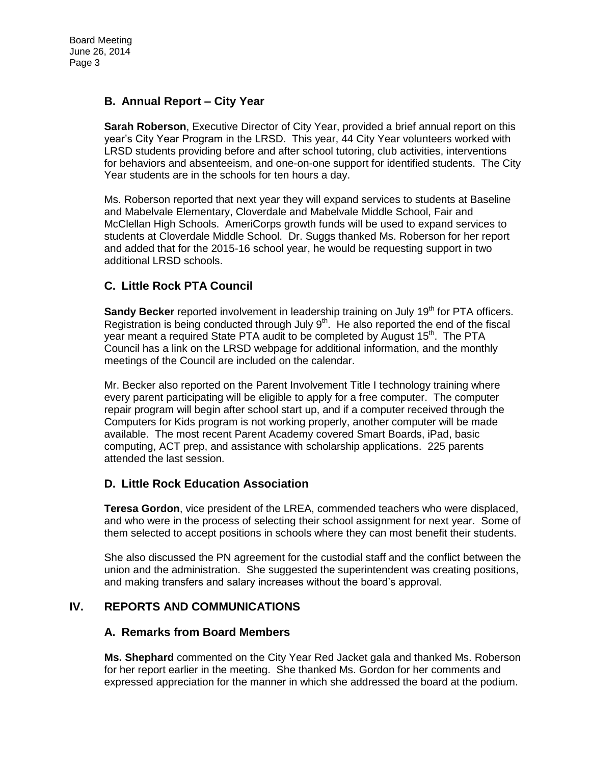## **B. Annual Report – City Year**

**Sarah Roberson**, Executive Director of City Year, provided a brief annual report on this year's City Year Program in the LRSD. This year, 44 City Year volunteers worked with LRSD students providing before and after school tutoring, club activities, interventions for behaviors and absenteeism, and one-on-one support for identified students. The City Year students are in the schools for ten hours a day.

Ms. Roberson reported that next year they will expand services to students at Baseline and Mabelvale Elementary, Cloverdale and Mabelvale Middle School, Fair and McClellan High Schools. AmeriCorps growth funds will be used to expand services to students at Cloverdale Middle School. Dr. Suggs thanked Ms. Roberson for her report and added that for the 2015-16 school year, he would be requesting support in two additional LRSD schools.

# **C. Little Rock PTA Council**

**Sandy Becker** reported involvement in leadership training on July 19<sup>th</sup> for PTA officers. Registration is being conducted through July  $9<sup>th</sup>$ . He also reported the end of the fiscal year meant a required State PTA audit to be completed by August 15<sup>th</sup>. The PTA Council has a link on the LRSD webpage for additional information, and the monthly meetings of the Council are included on the calendar.

Mr. Becker also reported on the Parent Involvement Title I technology training where every parent participating will be eligible to apply for a free computer. The computer repair program will begin after school start up, and if a computer received through the Computers for Kids program is not working properly, another computer will be made available. The most recent Parent Academy covered Smart Boards, iPad, basic computing, ACT prep, and assistance with scholarship applications. 225 parents attended the last session.

## **D. Little Rock Education Association**

**Teresa Gordon**, vice president of the LREA, commended teachers who were displaced, and who were in the process of selecting their school assignment for next year. Some of them selected to accept positions in schools where they can most benefit their students.

She also discussed the PN agreement for the custodial staff and the conflict between the union and the administration. She suggested the superintendent was creating positions, and making transfers and salary increases without the board's approval.

# **IV. REPORTS AND COMMUNICATIONS**

## **A. Remarks from Board Members**

**Ms. Shephard** commented on the City Year Red Jacket gala and thanked Ms. Roberson for her report earlier in the meeting. She thanked Ms. Gordon for her comments and expressed appreciation for the manner in which she addressed the board at the podium.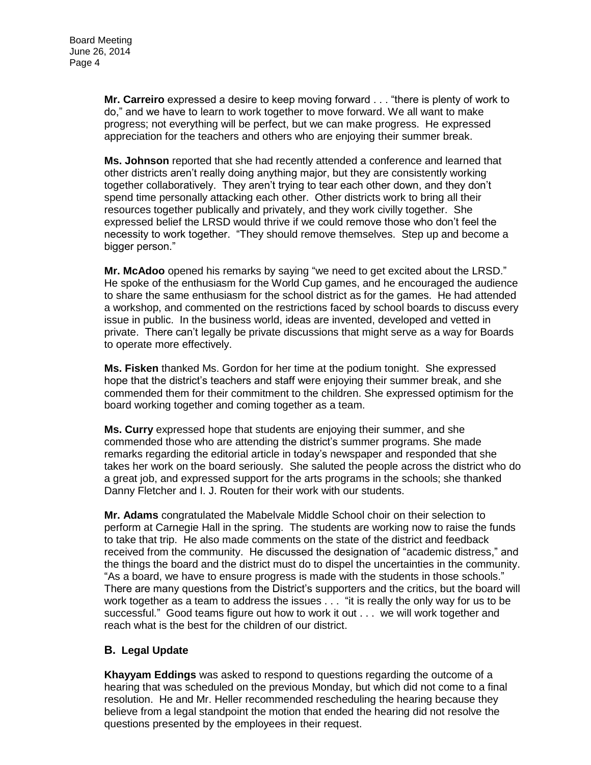**Mr. Carreiro** expressed a desire to keep moving forward . . . "there is plenty of work to do," and we have to learn to work together to move forward. We all want to make progress; not everything will be perfect, but we can make progress. He expressed appreciation for the teachers and others who are enjoying their summer break.

**Ms. Johnson** reported that she had recently attended a conference and learned that other districts aren't really doing anything major, but they are consistently working together collaboratively. They aren't trying to tear each other down, and they don't spend time personally attacking each other. Other districts work to bring all their resources together publically and privately, and they work civilly together. She expressed belief the LRSD would thrive if we could remove those who don't feel the necessity to work together. "They should remove themselves. Step up and become a bigger person."

**Mr. McAdoo** opened his remarks by saying "we need to get excited about the LRSD." He spoke of the enthusiasm for the World Cup games, and he encouraged the audience to share the same enthusiasm for the school district as for the games. He had attended a workshop, and commented on the restrictions faced by school boards to discuss every issue in public. In the business world, ideas are invented, developed and vetted in private. There can't legally be private discussions that might serve as a way for Boards to operate more effectively.

**Ms. Fisken** thanked Ms. Gordon for her time at the podium tonight. She expressed hope that the district's teachers and staff were enjoying their summer break, and she commended them for their commitment to the children. She expressed optimism for the board working together and coming together as a team.

**Ms. Curry** expressed hope that students are enjoying their summer, and she commended those who are attending the district's summer programs. She made remarks regarding the editorial article in today's newspaper and responded that she takes her work on the board seriously. She saluted the people across the district who do a great job, and expressed support for the arts programs in the schools; she thanked Danny Fletcher and I. J. Routen for their work with our students.

**Mr. Adams** congratulated the Mabelvale Middle School choir on their selection to perform at Carnegie Hall in the spring. The students are working now to raise the funds to take that trip. He also made comments on the state of the district and feedback received from the community. He discussed the designation of "academic distress," and the things the board and the district must do to dispel the uncertainties in the community. "As a board, we have to ensure progress is made with the students in those schools." There are many questions from the District's supporters and the critics, but the board will work together as a team to address the issues . . . "it is really the only way for us to be successful." Good teams figure out how to work it out . . . we will work together and reach what is the best for the children of our district.

## **B. Legal Update**

**Khayyam Eddings** was asked to respond to questions regarding the outcome of a hearing that was scheduled on the previous Monday, but which did not come to a final resolution. He and Mr. Heller recommended rescheduling the hearing because they believe from a legal standpoint the motion that ended the hearing did not resolve the questions presented by the employees in their request.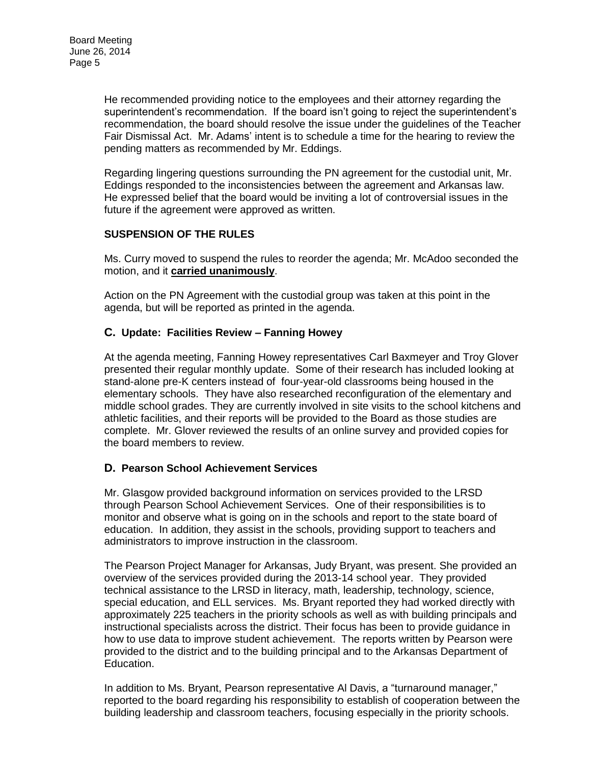He recommended providing notice to the employees and their attorney regarding the superintendent's recommendation. If the board isn't going to reject the superintendent's recommendation, the board should resolve the issue under the guidelines of the Teacher Fair Dismissal Act. Mr. Adams' intent is to schedule a time for the hearing to review the pending matters as recommended by Mr. Eddings.

Regarding lingering questions surrounding the PN agreement for the custodial unit, Mr. Eddings responded to the inconsistencies between the agreement and Arkansas law. He expressed belief that the board would be inviting a lot of controversial issues in the future if the agreement were approved as written.

### **SUSPENSION OF THE RULES**

Ms. Curry moved to suspend the rules to reorder the agenda; Mr. McAdoo seconded the motion, and it **carried unanimously**.

Action on the PN Agreement with the custodial group was taken at this point in the agenda, but will be reported as printed in the agenda.

### **C. Update: Facilities Review – Fanning Howey**

At the agenda meeting, Fanning Howey representatives Carl Baxmeyer and Troy Glover presented their regular monthly update. Some of their research has included looking at stand-alone pre-K centers instead of four-year-old classrooms being housed in the elementary schools. They have also researched reconfiguration of the elementary and middle school grades. They are currently involved in site visits to the school kitchens and athletic facilities, and their reports will be provided to the Board as those studies are complete. Mr. Glover reviewed the results of an online survey and provided copies for the board members to review.

#### **D. Pearson School Achievement Services**

Mr. Glasgow provided background information on services provided to the LRSD through Pearson School Achievement Services. One of their responsibilities is to monitor and observe what is going on in the schools and report to the state board of education. In addition, they assist in the schools, providing support to teachers and administrators to improve instruction in the classroom.

The Pearson Project Manager for Arkansas, Judy Bryant, was present. She provided an overview of the services provided during the 2013-14 school year. They provided technical assistance to the LRSD in literacy, math, leadership, technology, science, special education, and ELL services. Ms. Bryant reported they had worked directly with approximately 225 teachers in the priority schools as well as with building principals and instructional specialists across the district. Their focus has been to provide guidance in how to use data to improve student achievement. The reports written by Pearson were provided to the district and to the building principal and to the Arkansas Department of Education.

In addition to Ms. Bryant, Pearson representative Al Davis, a "turnaround manager," reported to the board regarding his responsibility to establish of cooperation between the building leadership and classroom teachers, focusing especially in the priority schools.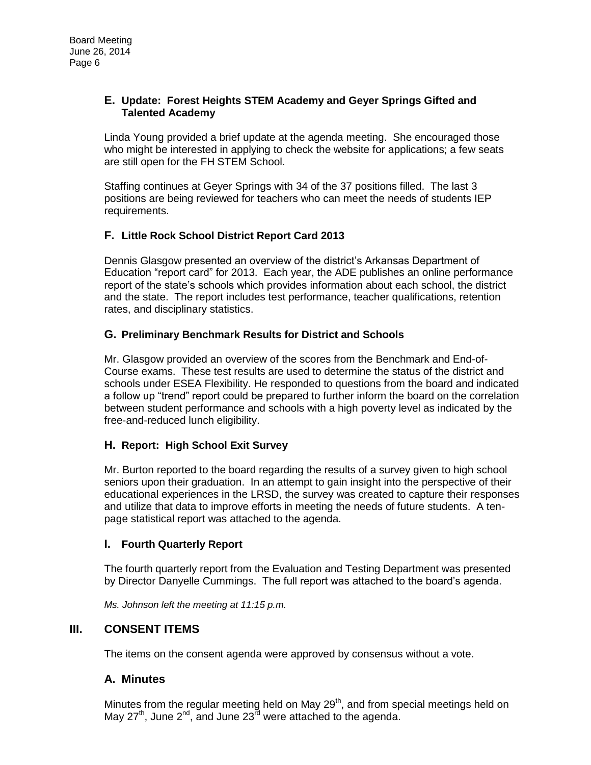#### **E. Update: Forest Heights STEM Academy and Geyer Springs Gifted and Talented Academy**

Linda Young provided a brief update at the agenda meeting. She encouraged those who might be interested in applying to check the website for applications; a few seats are still open for the FH STEM School.

Staffing continues at Geyer Springs with 34 of the 37 positions filled. The last 3 positions are being reviewed for teachers who can meet the needs of students IEP requirements.

## **F. Little Rock School District Report Card 2013**

Dennis Glasgow presented an overview of the district's Arkansas Department of Education "report card" for 2013. Each year, the ADE publishes an online performance report of the state's schools which provides information about each school, the district and the state. The report includes test performance, teacher qualifications, retention rates, and disciplinary statistics.

### **G. Preliminary Benchmark Results for District and Schools**

Mr. Glasgow provided an overview of the scores from the Benchmark and End-of-Course exams. These test results are used to determine the status of the district and schools under ESEA Flexibility. He responded to questions from the board and indicated a follow up "trend" report could be prepared to further inform the board on the correlation between student performance and schools with a high poverty level as indicated by the free-and-reduced lunch eligibility.

#### **H. Report: High School Exit Survey**

Mr. Burton reported to the board regarding the results of a survey given to high school seniors upon their graduation. In an attempt to gain insight into the perspective of their educational experiences in the LRSD, the survey was created to capture their responses and utilize that data to improve efforts in meeting the needs of future students. A tenpage statistical report was attached to the agenda.

#### **I. Fourth Quarterly Report**

The fourth quarterly report from the Evaluation and Testing Department was presented by Director Danyelle Cummings. The full report was attached to the board's agenda.

*Ms. Johnson left the meeting at 11:15 p.m.* 

## **III. CONSENT ITEMS**

The items on the consent agenda were approved by consensus without a vote.

## **A. Minutes**

Minutes from the regular meeting held on May  $29<sup>th</sup>$ , and from special meetings held on May  $27<sup>th</sup>$ , June  $2<sup>nd</sup>$ , and June  $23<sup>rd</sup>$  were attached to the agenda.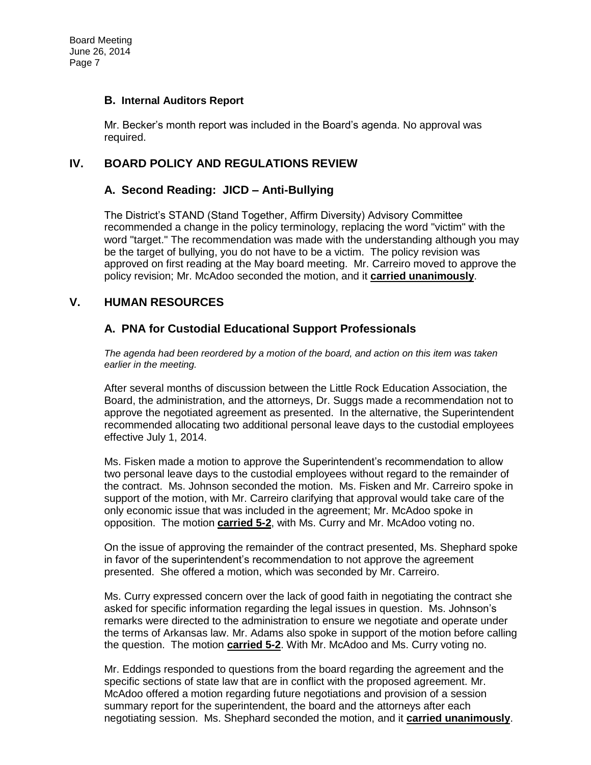#### **B. Internal Auditors Report**

Mr. Becker's month report was included in the Board's agenda. No approval was required.

### **IV. BOARD POLICY AND REGULATIONS REVIEW**

### **A. Second Reading: JICD – Anti-Bullying**

The District's STAND (Stand Together, Affirm Diversity) Advisory Committee recommended a change in the policy terminology, replacing the word "victim" with the word "target." The recommendation was made with the understanding although you may be the target of bullying, you do not have to be a victim. The policy revision was approved on first reading at the May board meeting. Mr. Carreiro moved to approve the policy revision; Mr. McAdoo seconded the motion, and it **carried unanimously**.

### **V. HUMAN RESOURCES**

## **A. PNA for Custodial Educational Support Professionals**

*The agenda had been reordered by a motion of the board, and action on this item was taken earlier in the meeting.* 

After several months of discussion between the Little Rock Education Association, the Board, the administration, and the attorneys, Dr. Suggs made a recommendation not to approve the negotiated agreement as presented. In the alternative, the Superintendent recommended allocating two additional personal leave days to the custodial employees effective July 1, 2014.

Ms. Fisken made a motion to approve the Superintendent's recommendation to allow two personal leave days to the custodial employees without regard to the remainder of the contract. Ms. Johnson seconded the motion. Ms. Fisken and Mr. Carreiro spoke in support of the motion, with Mr. Carreiro clarifying that approval would take care of the only economic issue that was included in the agreement; Mr. McAdoo spoke in opposition. The motion **carried 5-2**, with Ms. Curry and Mr. McAdoo voting no.

On the issue of approving the remainder of the contract presented, Ms. Shephard spoke in favor of the superintendent's recommendation to not approve the agreement presented. She offered a motion, which was seconded by Mr. Carreiro.

Ms. Curry expressed concern over the lack of good faith in negotiating the contract she asked for specific information regarding the legal issues in question. Ms. Johnson's remarks were directed to the administration to ensure we negotiate and operate under the terms of Arkansas law. Mr. Adams also spoke in support of the motion before calling the question. The motion **carried 5-2**. With Mr. McAdoo and Ms. Curry voting no.

Mr. Eddings responded to questions from the board regarding the agreement and the specific sections of state law that are in conflict with the proposed agreement. Mr. McAdoo offered a motion regarding future negotiations and provision of a session summary report for the superintendent, the board and the attorneys after each negotiating session. Ms. Shephard seconded the motion, and it **carried unanimously**.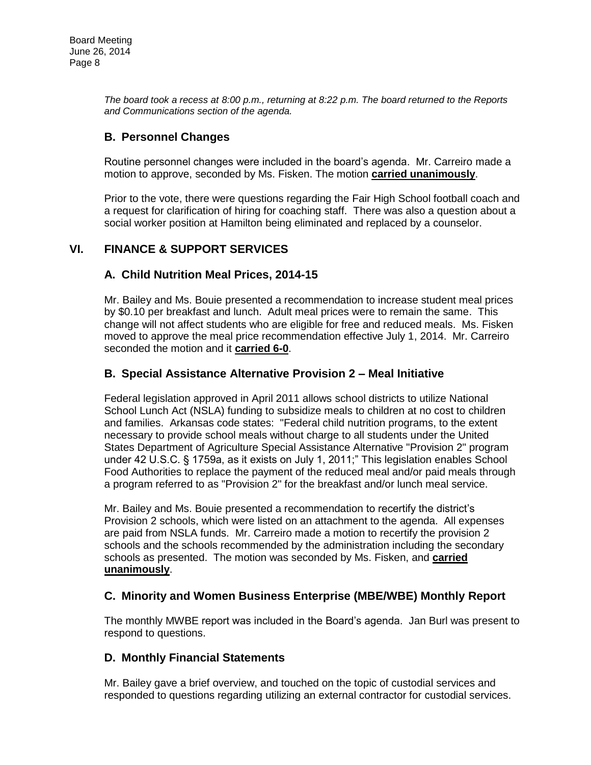*The board took a recess at 8:00 p.m., returning at 8:22 p.m. The board returned to the Reports and Communications section of the agenda.* 

# **B. Personnel Changes**

Routine personnel changes were included in the board's agenda. Mr. Carreiro made a motion to approve, seconded by Ms. Fisken. The motion **carried unanimously**.

Prior to the vote, there were questions regarding the Fair High School football coach and a request for clarification of hiring for coaching staff. There was also a question about a social worker position at Hamilton being eliminated and replaced by a counselor.

## **VI. FINANCE & SUPPORT SERVICES**

## **A. Child Nutrition Meal Prices, 2014-15**

Mr. Bailey and Ms. Bouie presented a recommendation to increase student meal prices by \$0.10 per breakfast and lunch. Adult meal prices were to remain the same. This change will not affect students who are eligible for free and reduced meals. Ms. Fisken moved to approve the meal price recommendation effective July 1, 2014. Mr. Carreiro seconded the motion and it **carried 6-0**.

### **B. Special Assistance Alternative Provision 2 – Meal Initiative**

Federal legislation approved in April 2011 allows school districts to utilize National School Lunch Act (NSLA) funding to subsidize meals to children at no cost to children and families. Arkansas code states: "Federal child nutrition programs, to the extent necessary to provide school meals without charge to all students under the United States Department of Agriculture Special Assistance Alternative "Provision 2" program under 42 U.S.C. § 1759a, as it exists on July 1, 2011;" This legislation enables School Food Authorities to replace the payment of the reduced meal and/or paid meals through a program referred to as "Provision 2" for the breakfast and/or lunch meal service.

Mr. Bailey and Ms. Bouie presented a recommendation to recertify the district's Provision 2 schools, which were listed on an attachment to the agenda. All expenses are paid from NSLA funds. Mr. Carreiro made a motion to recertify the provision 2 schools and the schools recommended by the administration including the secondary schools as presented. The motion was seconded by Ms. Fisken, and **carried unanimously**.

## **C. Minority and Women Business Enterprise (MBE/WBE) Monthly Report**

The monthly MWBE report was included in the Board's agenda. Jan Burl was present to respond to questions.

## **D. Monthly Financial Statements**

Mr. Bailey gave a brief overview, and touched on the topic of custodial services and responded to questions regarding utilizing an external contractor for custodial services.